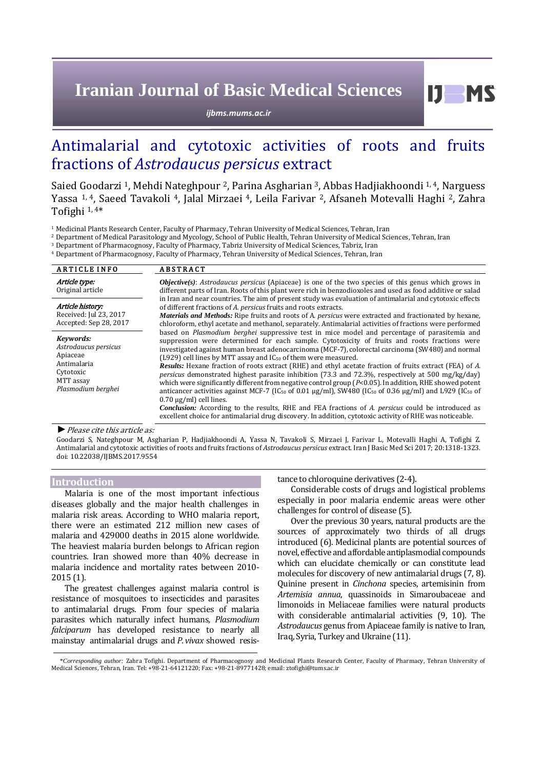# **Iranian Journal of Basic Medical Sciences**

*ijbms.mums.ac.ir*

# Antimalarial and cytotoxic activities of roots and fruits fractions of *Astrodaucus persicus* extract

Saied Goodarzi <sup>1</sup>, Mehdi Nateghpour <sup>2</sup>, Parina Asgharian <sup>3</sup>, Abbas Hadjiakhoondi <sup>1, 4</sup>, Narguess Yassa 1, <sup>4</sup>, Saeed Tavakoli 4, Jalal Mirzaei 4, Leila Farivar 2, Afsaneh Motevalli Haghi 2, Zahra Tofighi 1, <sup>4</sup>\*

<sup>1</sup> Medicinal Plants Research Center, Faculty of Pharmacy, Tehran University of Medical Sciences, Tehran, Iran

<sup>2</sup> Department of Medical Parasitology and Mycology, School of Public Health, Tehran University of Medical Sciences, Tehran, Iran

<sup>3</sup> Department of Pharmacognosy, Faculty of Pharmacy, Tabriz University of Medical Sciences, Tabriz, Iran

<sup>4</sup> Department of Pharmacognosy, Faculty of Pharmacy, Tehran University of Medical Sciences, Tehran, Iran

| <b>ARTICLE INFO</b>                                                                                          | <b>ABSTRACT</b>                                                                                                                                                                                                                                                                                                                                                                                                                                                                                                                                                                                                                                                                                                                                                                                                                                                                                                                                                                                                                                                                                                                           |  |  |  |  |
|--------------------------------------------------------------------------------------------------------------|-------------------------------------------------------------------------------------------------------------------------------------------------------------------------------------------------------------------------------------------------------------------------------------------------------------------------------------------------------------------------------------------------------------------------------------------------------------------------------------------------------------------------------------------------------------------------------------------------------------------------------------------------------------------------------------------------------------------------------------------------------------------------------------------------------------------------------------------------------------------------------------------------------------------------------------------------------------------------------------------------------------------------------------------------------------------------------------------------------------------------------------------|--|--|--|--|
| Article type:<br>Original article                                                                            | <b><i>Objective(s)</i></b> : Astrodaucus persicus (Apiaceae) is one of the two species of this genus which grows in<br>different parts of Iran. Roots of this plant were rich in benzodioxoles and used as food additive or salad                                                                                                                                                                                                                                                                                                                                                                                                                                                                                                                                                                                                                                                                                                                                                                                                                                                                                                         |  |  |  |  |
| Article history:<br>Received: Jul 23, 2017<br>Accepted: Sep 28, 2017                                         | in Iran and near countries. The aim of present study was evaluation of antimalarial and cytotoxic effects<br>of different fractions of A. persicus fruits and roots extracts.<br><b>Materials and Methods:</b> Ripe fruits and roots of A. <i>persicus</i> were extracted and fractionated by hexane,<br>chloroform, ethyl acetate and methanol, separately. Antimalarial activities of fractions were performed                                                                                                                                                                                                                                                                                                                                                                                                                                                                                                                                                                                                                                                                                                                          |  |  |  |  |
| Kevwords:<br>Astrodaucus persicus<br>Apiaceae<br>Antimalaria<br>Cytotoxic<br>MTT assay<br>Plasmodium berghei | based on <i>Plasmodium berghei</i> suppressive test in mice model and percentage of parasitemia and<br>suppression were determined for each sample. Cytotoxicity of fruits and roots fractions were<br>investigated against human breast adenocarcinoma (MCF-7), colorectal carcinoma (SW480) and normal<br>(L929) cell lines by MTT assay and IC <sub>50</sub> of them were measured.<br><b>Results:</b> Hexane fraction of roots extract (RHE) and ethyl acetate fraction of fruits extract (FEA) of A.<br>persicus demonstrated highest parasite inhibition (73.3 and 72.3%, respectively at 500 mg/kg/day)<br>which were significantly different from negative control group (P<0.05). In addition, RHE showed potent<br>anticancer activities against MCF-7 (IC <sub>50</sub> of 0.01 $\mu$ g/ml), SW480 (IC <sub>50</sub> of 0.36 $\mu$ g/ml) and L929 (IC <sub>50</sub> of<br>$0.70 \mu$ g/ml) cell lines.<br><b>Conclusion:</b> According to the results, RHE and FEA fractions of A. persicus could be introduced as<br>excellent choice for antimalarial drug discovery. In addition, cytotoxic activity of RHE was noticeable. |  |  |  |  |

*►*Please cite this article as:

Goodarzi S, Nateghpour M, Asgharian P, Hadjiakhoondi A, Yassa N, Tavakoli S, Mirzaei J, Farivar L, Motevalli Haghi A, Tofighi Z. Antimalarial and cytotoxic activities of roots and fruits fractions of *Astrodaucus persicus* extract. Iran J Basic Med Sci 2017; 20:1318-1323. doi[: 10.22038/IJBMS.2017.9554](http://dx.doi.org/10.22038/ijbms.2017.9554)

# **Introduction**

Malaria is one of the most important infectious diseases globally and the major health challenges in malaria risk areas. According to WHO malaria report, there were an estimated 212 million new cases of malaria and 429000 deaths in 2015 alone worldwide. The heaviest malaria burden belongs to African region countries. Iran showed more than 40% decrease in malaria incidence and mortality rates between 2010- 2015 (1).

The greatest challenges against malaria control is resistance of mosquitoes to insecticides and parasites to antimalarial drugs. From four species of malaria parasites which naturally infect humans*, Plasmodium falciparum* has developed resistance to nearly all mainstay antimalarial drugs and *P. vivax* showed resistance to chloroquine derivatives (2-4).

Considerable costs of drugs and logistical problems especially in poor malaria endemic areas were other challenges for control of disease (5).

Over the previous 30 years, natural products are the sources of approximately two thirds of all drugs introduced (6). Medicinal plants are potential sources of novel, effective and affordable antiplasmodial compounds which can elucidate chemically or can constitute lead molecules for discovery of new antimalarial drugs (7, 8). Quinine present in *Cinchona* species, artemisinin from *Artemisia annua*, quassinoids in Simaroubaceae and limonoids in Meliaceae families were natural products with considerable antimalarial activities (9, 10). The *Astrodaucus* genus from Apiaceae family is native to Iran, Iraq, Syria, Turkey and Ukraine (11).

<sup>\*</sup>*Corresponding author:* Zahra Tofighi. Department of Pharmacognosy and Medicinal Plants Research Center, Faculty of Pharmacy, Tehran University of Medical Sciences, Tehran, Iran. Tel: +98-21-64121220; Fax: +98-21-89771428; email: ztofighi@tums.ac.ir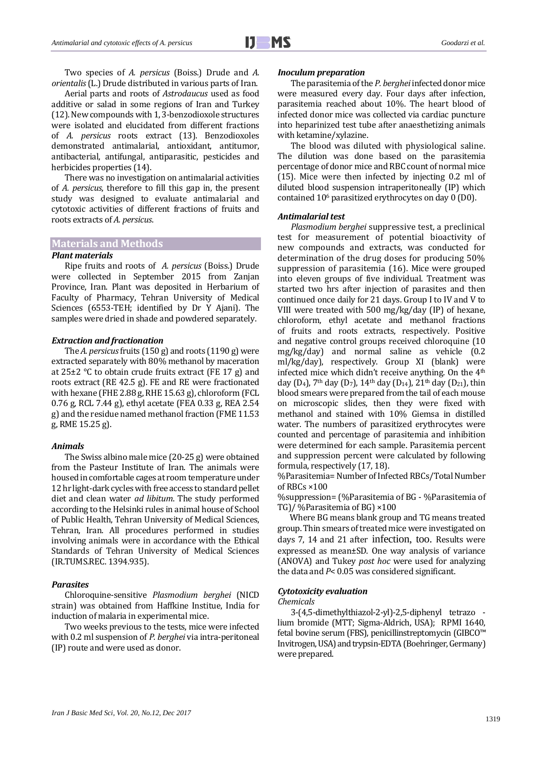Two species of *A. persicus* (Boiss.) Drude and *A. orientalis* (L.) Drude distributed in various parts of Iran.

Aerial parts and roots of *Astrodaucus* used as food additive or salad in some regions of Iran and Turkey (12). New compounds with 1, 3-benzodioxole structures were isolated and elucidated from different fractions of *A. persicus* roots extract (13). Benzodioxoles demonstrated antimalarial, antioxidant, antitumor, antibacterial, antifungal, antiparasitic, pesticides and herbicides properties (14).

There was no investigation on antimalarial activities of *A. persicus*, therefore to fill this gap in, the present study was designed to evaluate antimalarial and cytotoxic activities of different fractions of fruits and roots extracts of *A. persicus*.

# **Materials and Methods**

## *Plant materials*

Ripe fruits and roots of *A. persicus* (Boiss.) Drude were collected in September 2015 from Zanjan Province, Iran. Plant was deposited in Herbarium of Faculty of Pharmacy, Tehran University of Medical Sciences (6553-TEH; identified by Dr Y Ajani). The samples were dried in shade and powdered separately.

### *Extraction and fractionation*

The *A. persicus*fruits (150 g) and roots (1190 g) were extracted separately with 80% methanol by maceration at 25±2 °C to obtain crude fruits extract (FE 17 g) and roots extract (RE 42.5 g). FE and RE were fractionated with hexane (FHE 2.88 g, RHE 15.63 g), chloroform (FCL 0.76 g, RCL 7.44 g), ethyl acetate (FEA 0.33 g, REA 2.54 g) and the residue named methanol fraction (FME 11.53 g, RME 15.25 g).

## *Animals*

The Swiss albino male mice (20-25 g) were obtained from the Pasteur Institute of Iran. The animals were housed in comfortable cages at room temperature under 12 hr light-dark cycles with free access to standard pellet diet and clean water *ad libitum*. The study performed according to the Helsinki rules in animal house of School of Public Health, Tehran University of Medical Sciences, Tehran, Iran. All procedures performed in studies involving animals were in accordance with the Ethical Standards of Tehran University of Medical Sciences (IR.TUMS.REC. 1394.935).

# *Parasites*

Chloroquine-sensitive *Plasmodium berghei* (NICD strain) was obtained from Haffkine Institue, India for induction of malaria in experimental mice.

Two weeks previous to the tests, mice were infected with 0.2 ml suspension of *P. berghei* via intra-peritoneal (IP) route and were used as donor.

#### *Inoculum preparation*

The parasitemia of the *P. berghei* infected donor mice were measured every day. Four days after infection, parasitemia reached about 10%. The heart blood of infected donor mice was collected via cardiac puncture into heparinized test tube after anaesthetizing animals with ketamine/xylazine.

The blood was diluted with physiological saline. The dilution was done based on the parasitemia percentage of donor mice and RBC count of normal mice (15). Mice were then infected by injecting 0.2 ml of diluted blood suspension intraperitoneally (IP) which contained 10<sup>6</sup> parasitized erythrocytes on day 0 (D0).

## *Antimalarial test*

*Plasmodium berghei* suppressive test, a preclinical test for measurement of potential bioactivity of new compounds and extracts, was conducted for determination of the drug doses for producing 50% suppression of parasitemia (16). Mice were grouped into eleven groups of five individual. Treatment was started two hrs after injection of parasites and then continued once daily for 21 days. Group I to IV and V to VIII were treated with 500 mg/kg/day (IP) of hexane, chloroform, ethyl acetate and methanol fractions of fruits and roots extracts, respectively. Positive and negative control groups received chloroquine (10 mg/kg/day) and normal saline as vehicle (0.2 ml/kg/day), respectively. Group XI (blank) were infected mice which didn't receive anything. On the 4<sup>th</sup> day (D<sub>4</sub>), 7<sup>th</sup> day (D<sub>7</sub>), 14<sup>th</sup> day (D<sub>14</sub>), 21<sup>th</sup> day (D<sub>21</sub>), thin blood smears were prepared from the tail of each mouse on microscopic slides, then they were fixed with methanol and stained with 10% Giemsa in distilled water. The numbers of parasitized erythrocytes were counted and percentage of parasitemia and inhibition were determined for each sample. Parasitemia percent and suppression percent were calculated by following formula, respectively (17, 18).

%Parasitemia= Number of Infected RBCs/Total Number of RBCs ×100

%suppression= (%Parasitemia of BG - %Parasitemia of TG)/ %Parasitemia of BG) ×100

Where BG means blank group and TG means treated group. Thin smears of treated mice were investigated on days 7, 14 and 21 after infection, too. Results were expressed as mean±SD. One way analysis of variance (ANOVA) and Tukey *post hoc* were used for analyzing the data and *P*< 0.05 was considered significant.

# *Cytotoxicity evaluation*

#### *Chemicals*

3-(4,5-dimethylthiazol-2-yl)-2,5-diphenyl tetrazo lium bromide (MTT; Sigma-Aldrich, USA); RPMI 1640, fetal bovine serum (FBS), penicillinstreptomycin (GIBCO™ Invitrogen, USA) and trypsin-EDTA (Boehringer, Germany) were prepared.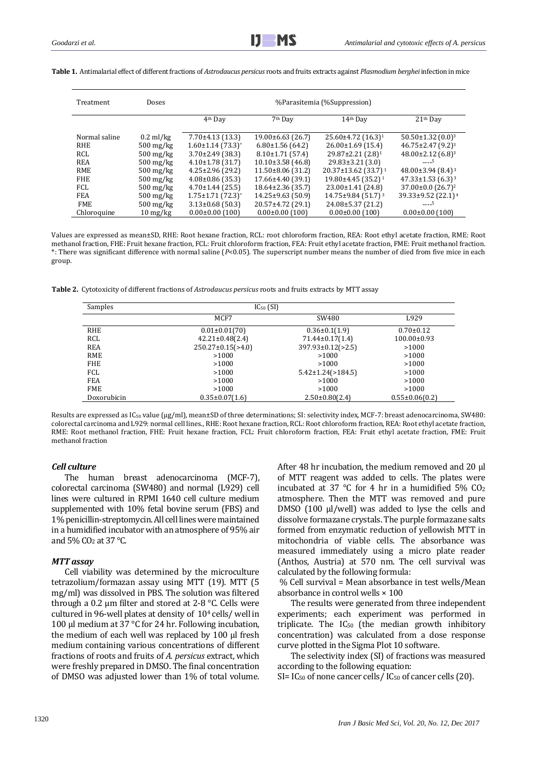| Treatment     | Doses                            | %Parasitemia (%Suppression)         |                         |                                       |                                     |
|---------------|----------------------------------|-------------------------------------|-------------------------|---------------------------------------|-------------------------------------|
|               |                                  | 4 <sup>th</sup> Dav                 | $7th$ Dav               | 14th Dav                              | 21 <sup>th</sup> Day                |
| Normal saline | $0.2$ ml/kg                      | $7.70\pm4.13(13.3)$                 | $19.00\pm 6.63$ (26.7)  | 25.60±4.72 (16.3) <sup>1</sup>        | $50.50 \pm 1.32$ (0.0) <sup>3</sup> |
| <b>RHE</b>    | $500 \,\mathrm{mg/kg}$           | $1.60 \pm 1.14$ (73.3) <sup>*</sup> | $6.80\pm1.56(64.2)$     | $26.00 \pm 1.69$ (15.4)               | $46.75 \pm 2.47$ (9.2) <sup>3</sup> |
| RCL           | $500 \,\mathrm{mg/kg}$           | $3.70\pm2.49$ (38.3)                | $8.10 \pm 1.71$ (57.4)  | $29.87 \pm 2.21$ (2.8) <sup>1</sup>   | $48.00 \pm 2.12$ (6.8) <sup>3</sup> |
| REA           | $500 \,\mathrm{mg/kg}$           | $4.10\pm1.78$ (31.7)                | $10.10\pm3.58$ (46.8)   | $29.83 \pm 3.21$ (3.0)                | ----5                               |
| <b>RME</b>    | $500 \,\mathrm{mg/kg}$           | $4.25 \pm 2.96$ (29.2)              | $11.50\pm8.06$ (31.2)   | $20.37 \pm 13.62$ (33.7) <sup>1</sup> | 48.00 $\pm$ 3.94 (8.4) <sup>3</sup> |
| <b>FHE</b>    | $500 \,\mathrm{mg/kg}$           | $4.08\pm0.86$ (35.3)                | $17.66 \pm 4.40$ (39.1) | 19.80±4.45 (35.2) <sup>1</sup>        | $47.33 \pm 1.53$ (6.3) <sup>3</sup> |
| FCL           | $500 \,\mathrm{mg/kg}$           | $4.70 \pm 1.44$ (25.5)              | $18.64\pm2.36$ (35.7)   | $23.00 \pm 1.41$ (24.8)               | $37.00 \pm 0.0$ $(26.7)^2$          |
| FEA           | $500 \,\mathrm{mg/kg}$           | $1.75 \pm 1.71$ (72.3) <sup>*</sup> | $14.25 \pm 9.63$ (50.9) | $14.75 \pm 9.84$ (51.7) <sup>3</sup>  | 39.33±9.52 (22.1) <sup>4</sup>      |
| <b>FME</b>    | $500 \,\mathrm{mg/kg}$           | $3.13\pm0.68$ (50.3)                | 20.57±4.72 (29.1)       | 24.08±5.37 (21.2)                     | ----5                               |
| Chloroquine   | $10 \frac{\text{mg}}{\text{kg}}$ | $0.00\pm0.00$ (100)                 | $0.00\pm0.00$ (100)     | $0.00\pm0.00$ (100)                   | $0.00\pm0.00$ (100)                 |

**Table 1.** Antimalarial effect of different fractions of *Astrodaucus persicus* roots and fruits extracts against *Plasmodium berghei* infection in mice

Values are expressed as mean±SD, RHE: Root hexane fraction, RCL: root chloroform fraction, REA: Root ethyl acetate fraction, RME: Root methanol fraction, FHE: Fruit hexane fraction, FCL: Fruit chloroform fraction, FEA: Fruit ethyl acetate fraction, FME: Fruit methanol fraction. \*: There was significant difference with normal saline (*P*<0.05). The superscript number means the number of died from five mice in each group.

**Table 2.** Cytotoxicity of different fractions of *Astrodaucus persicus* roots and fruits extracts by MTT assay

| Samples     | $IC_{50}$ (SI)           |                           |                      |  |  |
|-------------|--------------------------|---------------------------|----------------------|--|--|
|             | MCF7                     | SW480                     | L929                 |  |  |
| <b>RHE</b>  | $0.01 \pm 0.01(70)$      | $0.36 \pm 0.1(1.9)$       | $0.70 \pm 0.12$      |  |  |
| RCL         | $42.21 \pm 0.48(2.4)$    | $71.44 \pm 0.17(1.4)$     | $100.00 \pm 0.93$    |  |  |
| <b>REA</b>  | $250.27 \pm 0.15$ (>4.0) | $397.93 \pm 0.12$ (> 2.5) | >1000                |  |  |
| <b>RME</b>  | >1000                    | >1000                     | >1000                |  |  |
| <b>FHE</b>  | >1000                    | >1000                     | >1000                |  |  |
| FCL         | >1000                    | $5.42 \pm 1.24$ (> 184.5) | >1000                |  |  |
| <b>FEA</b>  | >1000                    | >1000                     | >1000                |  |  |
| <b>FME</b>  | >1000                    | >1000                     | >1000                |  |  |
| Doxorubicin | $0.35 \pm 0.07(1.6)$     | $2.50 \pm 0.80(2.4)$      | $0.55 \pm 0.06(0.2)$ |  |  |

Results are expressed as IC<sup>50</sup> value (μg/ml), mean±SD of three determinations; SI: selectivity index, MCF-7: breast adenocarcinoma, SW480: colorectal carcinoma and L929: normal cell lines., RHE: Root hexane fraction, RCL: Root chloroform fraction, REA: Root ethyl acetate fraction, RME: Root methanol fraction, FHE: Fruit hexane fraction, FCL: Fruit chloroform fraction, FEA: Fruit ethyl acetate fraction, FME: Fruit methanol fraction

# *Cell culture*

The human breast adenocarcinoma (MCF-7), colorectal carcinoma (SW480) and normal (L929) cell lines were cultured in RPMI 1640 cell culture medium supplemented with 10% fetal bovine serum (FBS) and 1% penicillin-streptomycin. All cell lines were maintained in a humidified incubator with an atmosphere of 95% air and 5% CO<sub>2</sub> at 37 °C.

# *MTT assay*

Cell viability was determined by the microculture tetrazolium/formazan assay using MTT (19). MTT (5 mg/ml) was dissolved in PBS. The solution was filtered through a 0.2 µm filter and stored at 2-8 °C. Cells were cultured in 96-well plates at density of 10<sup>4</sup> cells/ well in 100 µl medium at 37 °C for 24 hr. Following incubation, the medium of each well was replaced by 100 µl fresh medium containing various concentrations of different fractions of roots and fruits of *A. persicus* extract, which were freshly prepared in DMSO. The final concentration of DMSO was adjusted lower than 1% of total volume. After 48 hr incubation, the medium removed and 20 μl of MTT reagent was added to cells. The plates were incubated at 37 °C for 4 hr in a humidified 5% CO<sup>2</sup> atmosphere. Then the MTT was removed and pure DMSO (100 μl/well) was added to lyse the cells and dissolve formazane crystals. The purple formazane salts formed from enzymatic reduction of yellowish MTT in mitochondria of viable cells. The absorbance was measured immediately using a micro plate reader (Anthos, Austria) at 570 nm. The cell survival was calculated by the following formula:

% Cell survival = Mean absorbance in test wells/Mean absorbance in control wells × 100

The results were generated from three independent experiments; each experiment was performed in triplicate. The  $IC_{50}$  (the median growth inhibitory concentration) was calculated from a dose response curve plotted in the Sigma Plot 10 software.

The selectivity index (SI) of fractions was measured according to the following equation:

SI=  $IC_{50}$  of none cancer cells /  $IC_{50}$  of cancer cells (20).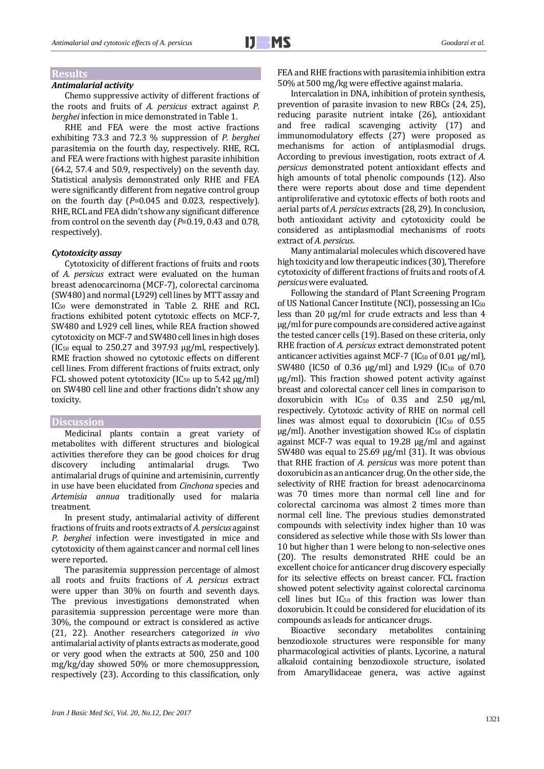# **Results**

# *Antimalarial activity*

Chemo suppressive activity of different fractions of the roots and fruits of *A. persicus* extract against *P. berghei* infection in mice demonstrated in Table 1.

RHE and FEA were the most active fractions exhibiting 73.3 and 72.3 % suppression of *P. berghei* parasitemia on the fourth day, respectively. RHE, RCL and FEA were fractions with highest parasite inhibition (64.2, 57.4 and 50.9, respectively) on the seventh day. Statistical analysis demonstrated only RHE and FEA were significantly different from negative control group on the fourth day (*P*=0.045 and 0.023, respectively). RHE, RCL and FEA didn't show any significant difference from control on the seventh day (*P*=0.19, 0.43 and 0.78, respectively).

## *Cytotoxicity assay*

Cytotoxicity of different fractions of fruits and roots of *A. persicus* extract were evaluated on the human breast adenocarcinoma (MCF-7), colorectal carcinoma (SW480) and normal (L929) cell lines by MTT assay and IC<sup>50</sup> were demonstrated in Table 2. RHE and RCL fractions exhibited potent cytotoxic effects on MCF-7, SW480 and L929 cell lines, while REA fraction showed cytotoxicity on MCF-7 and SW480 cell lines in high doses (IC<sub>50</sub> equal to 250.27 and 397.93  $\mu$ g/ml, respectively). RME fraction showed no cytotoxic effects on different cell lines. From different fractions of fruits extract, only FCL showed potent cytotoxicity ( $IC_{50}$  up to 5.42  $\mu$ g/ml) on SW480 cell line and other fractions didn't show any toxicity.

## **Discussion**

Medicinal plants contain a great variety of metabolites with different structures and biological activities therefore they can be good choices for drug<br>discovery including antimalarial drugs. Two discovery including antimalarial drugs. Two antimalarial drugs of quinine and artemisinin, currently in use have been elucidated from *Cinchona* species and *Artemisia annua* traditionally used for malaria treatment.

In present study, antimalarial activity of different fractions of fruits and roots extracts of *A. persicus* against *P. berghei* infection were investigated in mice and cytotoxicity of them against cancer and normal cell lines were reported.

The parasitemia suppression percentage of almost all roots and fruits fractions of *A. persicus* extract were upper than 30% on fourth and seventh days. The previous investigations demonstrated when parasitemia suppression percentage were more than 30%, the compound or extract is considered as active (21, 22). Another researchers categorized *in vivo* antimalarial activity of plants extracts as moderate, good or very good when the extracts at 500, 250 and 100 mg/kg/day showed 50% or more chemosuppression, respectively (23). According to this classification, only FEA and RHE fractions with parasitemia inhibition extra 50% at 500 mg/kg were effective against malaria.

Intercalation in DNA, inhibition of protein synthesis, prevention of parasite invasion to new RBCs (24, 25), reducing parasite nutrient intake (26), antioxidant and free radical scavenging activity (17) and immunomodulatory effects (27) were proposed as mechanisms for action of antiplasmodial drugs. According to previous investigation, roots extract of *A. persicus* demonstrated potent antioxidant effects and high amounts of total phenolic compounds (12). Also there were reports about dose and time dependent antiproliferative and cytotoxic effects of both roots and aerial parts of *A. persicus* extracts (28, 29). In conclusion, both antioxidant activity and cytotoxicity could be considered as antiplasmodial mechanisms of roots extract of *A. persicus*.

Many antimalarial molecules which discovered have high toxicity and low therapeutic indices (30), Therefore cytotoxicity of different fractions of fruits and roots of *A. persicus* were evaluated.

Following the standard of Plant Screening Program of US National Cancer Institute (NCI), possessing an IC<sup>50</sup> less than 20 μg/ml for crude extracts and less than 4 μg/ml for pure compounds are considered active against the tested cancer cells (19). Based on these criteria, only RHE fraction of *A. persicus* extract demonstrated potent anticancer activities against MCF-7 ( $IC_{50}$  of 0.01  $\mu$ g/ml), SW480 (IC50 of 0.36  $\mu$ g/ml) and L929 (IC<sub>50</sub> of 0.70 µg/ml). This fraction showed potent activity against breast and colorectal cancer cell lines in comparison to doxorubicin with  $IC_{50}$  of 0.35 and 2.50  $\mu$ g/ml, respectively. Cytotoxic activity of RHE on normal cell lines was almost equal to doxorubicin  $(IC_{50}$  of 0.55  $\mu$ g/ml). Another investigation showed IC<sub>50</sub> of cisplatin against MCF-7 was equal to 19.28 µg/ml and against SW480 was equal to 25.69 µg/ml (31). It was obvious that RHE fraction of *A. persicus* was more potent than doxorubicin as an anticancer drug. On the other side, the selectivity of RHE fraction for breast adenocarcinoma was 70 times more than normal cell line and for colorectal carcinoma was almost 2 times more than normal cell line. The previous studies demonstrated compounds with selectivity index higher than 10 was considered as selective while those with SIs lower than 10 but higher than 1 were belong to non-selective ones (20). The results demonstrated RHE could be an excellent choice for anticancer drug discovery especially for its selective effects on breast cancer. FCL fraction showed potent selectivity against colorectal carcinoma cell lines but IC<sup>50</sup> of this fraction was lower than doxorubicin. It could be considered for elucidation of its compounds as leads for anticancer drugs.

Bioactive secondary metabolites containing benzodioxole structures were responsible for many pharmacological activities of plants. Lycorine, a natural alkaloid containing benzodioxole structure, isolated from Amaryllidaceae genera, was active against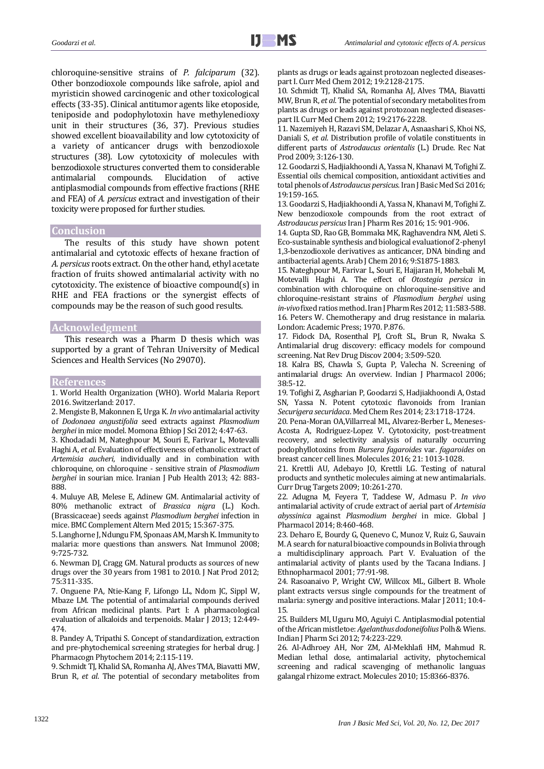chloroquine-sensitive strains of *P. falciparum* (32). Other bonzodioxole compounds like safrole, apiol and myristicin showed carcinogenic and other toxicological effects (33-35). Clinical antitumor agents like etoposide, teniposide and podophylotoxin have methylenedioxy unit in their structures (36, 37). Previous studies showed excellent bioavailability and low cytotoxicity of a variety of anticancer drugs with benzodioxole structures (38). Low cytotoxicity of molecules with benzodioxole structures converted them to considerable antimalarial compounds. Elucidation of active antiplasmodial compounds from effective fractions (RHE and FEA) of *A. persicus* extract and investigation of their toxicity were proposed for further studies.

# **Conclusion**

The results of this study have shown potent antimalarial and cytotoxic effects of hexane fraction of *A. persicus* roots extract. On the other hand, ethyl acetate fraction of fruits showed antimalarial activity with no cytotoxicity. The existence of bioactive compound(s) in RHE and FEA fractions or the synergist effects of compounds may be the reason of such good results.

# **Acknowledgment**

This research was a Pharm D thesis which was supported by a grant of Tehran University of Medical Sciences and Health Services (No 29070).

## **References**

1. World Health Organization (WHO). World Malaria Report 2016. Switzerland: 2017.

2. Mengiste B, Makonnen E, Urga K. *In vivo* antimalarial activity of *Dodonaea angustifolia* seed extracts against *Plasmodium berghei* in mice model. Momona Ethiop J Sci 2012; 4:47-63.

3. Khodadadi M, Nateghpour M, Souri E, Farivar L, Motevalli Haghi A, *et al*. Evaluation of effectiveness of ethanolic extract of *Artemisia aucheri*, individually and in combination with chloroquine, on chloroquine - sensitive strain of *Plasmodium berghei* in sourian mice. Iranian J Pub Health 2013; 42: 883- 888.

4. Muluye AB, Melese E, Adinew GM. Antimalarial activity of 80% methanolic extract of *Brassica nigra* (L.) Koch. (Brassicaceae) seeds against *Plasmodium berghei* infection in mice. BMC Complement Altern Med 2015; 15:367-375.

5. Langhorne J, Ndungu FM, Sponaas AM, Marsh K. Immunity to malaria: more questions than answers. Nat Immunol 2008; 9:725-732.

6. Newman DJ, Cragg GM. Natural products as sources of new drugs over the 30 years from 1981 to 2010. J Nat Prod 2012; 75:311-335.

7. Onguene PA, Ntie-Kang F, Lifongo LL, Ndom JC, Sippl W, Mbaze LM. The potential of antimalarial compounds derived from African medicinal plants. Part I: A pharmacological evaluation of alkaloids and terpenoids. Malar J 2013; 12:449- 474.

8. Pandey A, Tripathi S. Concept of standardization, extraction and pre-phytochemical screening strategies for herbal drug. J Pharmacogn Phytochem 2014; 2:115-119.

9. Schmidt TJ, Khalid SA, Romanha AJ, Alves TMA, Biavatti MW, Brun R, *et al*. The potential of secondary metabolites from plants as drugs or leads against protozoan neglected diseasespart I. Curr Med Chem 2012; 19:2128-2175.

10. Schmidt TJ, Khalid SA, Romanha AJ, Alves TMA, Biavatti MW, Brun R, *et al*. The potential of secondary metabolites from plants as drugs or leads against protozoan neglected diseasespart II. Curr Med Chem 2012; 19:2176-2228.

11. Nazemiyeh H, Razavi SM, Delazar A, Asnaashari S, Khoi NS, Daniali S, *et al*. Distribution profile of volatile constituents in different parts of *Astrodaucus orientalis* (L.) Drude. Rec Nat Prod 2009; 3:126-130.

12. Goodarzi S, Hadjiakhoondi A, Yassa N, Khanavi M, Tofighi Z. Essential oils chemical composition, antioxidant activities and total phenols of *Astrodaucus persicus*. Iran J Basic Med Sci 2016; 19:159-165.

13. Goodarzi S, Hadjiakhoondi A, Yassa N, Khanavi M, Tofighi Z. New benzodioxole compounds from the root extract of *Astrodaucus persicus* Iran J Pharm Res 2016; 15: 901-906.

14. Gupta SD, Rao GB, Bommaka MK, Raghavendra NM, Aleti S. Eco-sustainable synthesis and biological evaluationof 2-phenyl 1,3-benzodioxole derivatives as anticancer, DNA binding and antibacterial agents. Arab J Chem 2016; 9:S1875-1883.

15. Nateghpour M, Farivar L, Souri E, Hajjaran H, Mohebali M, Motevalli Haghi A. The effect of *Otostegia persica* in combination with chloroquine on chloroquine-sensitive and chloroquine-resistant strains of *Plasmodium berghei* using *in-vivo* fixed ratios method. Iran J Pharm Res 2012; 11:583-588. 16. Peters W. Chemotherapy and drug resistance in malaria. London: Academic Press; 1970. P.876.

17. Fidock DA, Rosenthal PJ, Croft SL, Brun R, Nwaka S. Antimalarial drug discovery: efficacy models for compound screening. Nat Rev Drug Discov 2004; 3:509-520.

18. Kalra BS, Chawla S, Gupta P, Valecha N. Screening of antimalarial drugs: An overview. Indian J Pharmacol 2006; 38:5-12.

19. Tofighi Z, Asgharian P, Goodarzi S, Hadjiakhoondi A, Ostad SN, Yassa N. Potent cytotoxic flavonoids from Iranian *Securigera securidaca*. Med Chem Res 2014; 23:1718-1724.

20. Pena-Moran OA,Villarreal ML, Alvarez-Berber L, Meneses-Acosta A, Rodriguez-Lopez V. Cytotoxicity, post-treatment recovery, and selectivity analysis of naturally occurring podophyllotoxins from *Bursera fagaroides* var. *fagaroides* on breast cancer cell lines. Molecules 2016; 21: 1013-1028.

21. Krettli AU, Adebayo JO, Krettli LG. Testing of natural products and synthetic molecules aiming at new antimalarials. Curr Drug Targets 2009; 10:261-270.

22. Adugna M, Feyera T, Taddese W, Admasu P. *In vivo* antimalarial activity of crude extract of aerial part of *Artemisia abyssinica* against *Plasmodium berghei* in mice. Global J Pharmacol 2014; 8:460-468.

23. Deharo E, Bourdy G, Quenevo C, Munoz V, Ruiz G, Sauvain M. A search for natural bioactive compounds in Bolivia through a multidisciplinary approach. Part V. Evaluation of the antimalarial activity of plants used by the Tacana Indians. J Ethnopharmacol 2001; 77:91-98.

24. Rasoanaivo P, Wright CW, Willcox ML, Gilbert B. Whole plant extracts versus single compounds for the treatment of malaria: synergy and positive interactions. Malar J 2011; 10:4- 15.

25. Builders MI, Uguru MO, Aguiyi C. Antiplasmodial potential of the African mistletoe: *Agelanthus dodoneifolius*Polh & Wiens. Indian J Pharm Sci 2012; 74:223-229.

26. Al-Adhroey AH, Nor ZM, Al-Mekhlafi HM, Mahmud R. Median lethal dose, antimalarial activity, phytochemical screening and radical scavenging of methanolic languas galangal rhizome extract. Molecules 2010; 15:8366-8376.